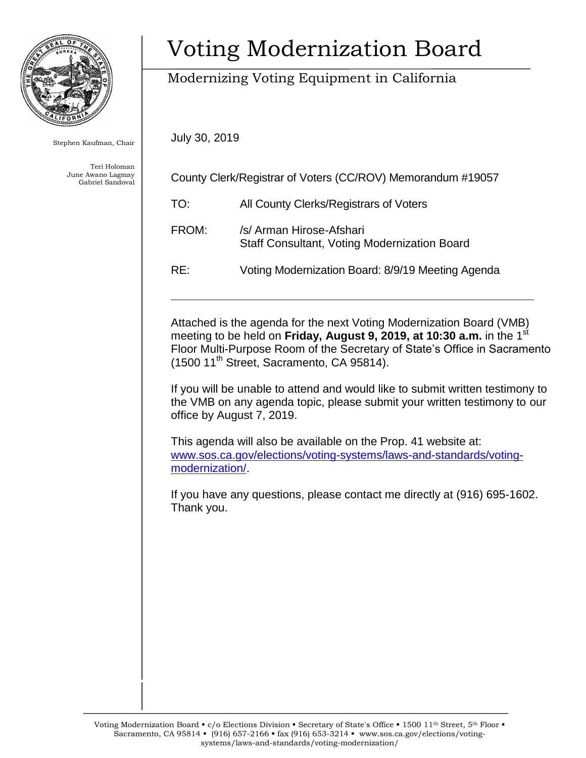

Stephen Kaufman, Chair

Teri Holoman June Awano Lagmay Gabriel Sandoval

# Voting Modernization Board

## Modernizing Voting Equipment in California

July 30, 2019

| County Clerk/Registrar of Voters (CC/ROV) Memorandum #19057 |                                                                                 |
|-------------------------------------------------------------|---------------------------------------------------------------------------------|
| TO:                                                         | All County Clerks/Registrars of Voters                                          |
| FROM:                                                       | /s/ Arman Hirose-Afshari<br><b>Staff Consultant, Voting Modernization Board</b> |
| RE:                                                         | Voting Modernization Board: 8/9/19 Meeting Agenda                               |
|                                                             |                                                                                 |

Attached is the agenda for the next Voting Modernization Board (VMB) meeting to be held on **Friday, August 9, 2019, at 10:30 a.m.** in the 1<sup>st</sup> Floor Multi-Purpose Room of the Secretary of State's Office in Sacramento (1500 11<sup>th</sup> Street, Sacramento, CA 95814).

If you will be unable to attend and would like to submit written testimony to the VMB on any agenda topic, please submit your written testimony to our office by August 7, 2019.

This agenda will also be available on the Prop. 41 website at: [www.sos.ca.gov/elections/voting-systems/laws-and-standards/voting](http://www.sos.ca.gov/elections/voting-systems/laws-and-standards/voting-modernization/)[modernization/.](http://www.sos.ca.gov/elections/voting-systems/laws-and-standards/voting-modernization/)

If you have any questions, please contact me directly at (916) 695-1602. Thank you.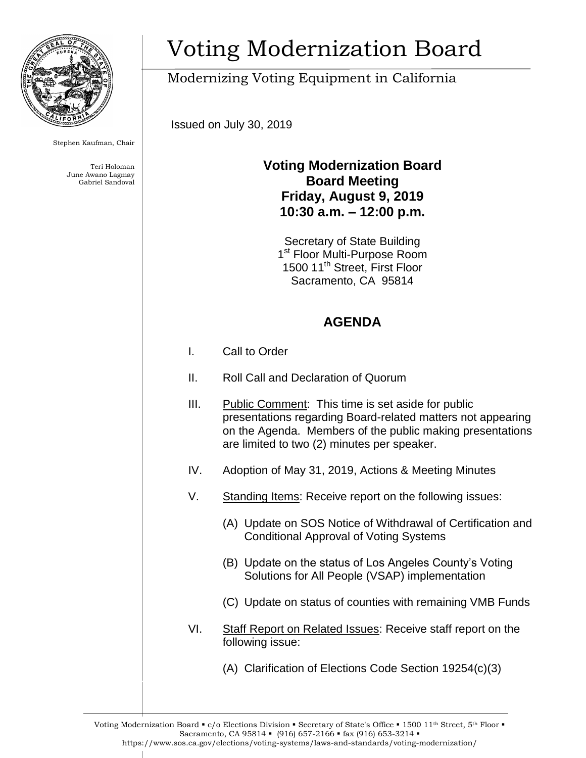

Stephen Kaufman, Chair

Teri Holoman June Awano Lagmay Gabriel Sandoval

# Voting Modernization Board

## Modernizing Voting Equipment in California

Issued on July 30, 2019

#### **Voting Modernization Board Board Meeting Friday, August 9, 2019 10:30 a.m. – 12:00 p.m.**

Secretary of State Building 1<sup>st</sup> Floor Multi-Purpose Room 1500 11th Street, First Floor Sacramento, CA 95814

### **AGENDA**

- I. Call to Order
- II. Roll Call and Declaration of Quorum
- III. Public Comment: This time is set aside for public presentations regarding Board-related matters not appearing on the Agenda. Members of the public making presentations are limited to two (2) minutes per speaker.
- IV. Adoption of May 31, 2019, Actions & Meeting Minutes
- V. Standing Items: Receive report on the following issues:
	- (A) Update on SOS Notice of Withdrawal of Certification and Conditional Approval of Voting Systems
	- (B) Update on the status of Los Angeles County's Voting Solutions for All People (VSAP) implementation
	- (C) Update on status of counties with remaining VMB Funds
- VI. Staff Report on Related Issues: Receive staff report on the following issue:
	- (A) Clarification of Elections Code Section 19254(c)(3)

Voting Modernization Board • c/o Elections Division • Secretary of State's Office • 1500 11<sup>th</sup> Street, 5<sup>th</sup> Floor • Sacramento, CA 95814 • (916) 657-2166 • fax (916) 653-3214 • https://www.sos.ca.gov/elections/voting-systems/laws-and-standards/voting-modernization/